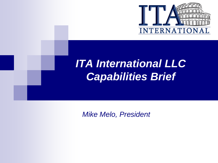

## *ITA International LLC Capabilities Brief*

*Mike Melo, President*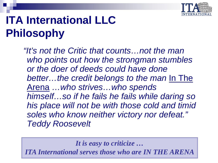

# **ITA International LLC Philosophy**

*"It's not the Critic that counts…not the man who points out how the strongman stumbles or the doer of deeds could have done better…the credit belongs to the man* In The Arena *…who strives…who spends himself…so if he fails he fails while daring so his place will not be with those cold and timid soles who know neither victory nor defeat." Teddy Roosevelt*

*It is easy to criticize …*

*"Serving Those In the Arena" ITA International serves those who are IN THE ARENA*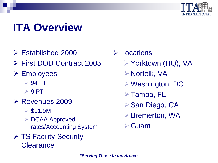

# **ITA Overview**

- $\triangleright$  Established 2000
- First DOD Contract 2005
- **≻ Employees** 
	- 94 FT
	- $\triangleright$  9 PT
- **EXECUTE 2009** Revenues 2009
	- $\triangleright$  \$11.9M
	- **► DCAA Approved** rates/Accounting System
- **▶ TS Facility Security Clearance**
- **≻ Locations** 
	- Yorktown (HQ), VA
	- Norfolk, VA
	- Washington, DC
	- Tampa, FL
	- ▶ San Diego, CA
	- **≻**Bremerton, WA
	- Guam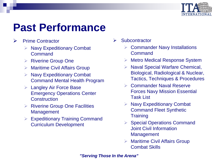

### **Past Performance**

- $\triangleright$  Prime Contractor
	- Navy Expeditionary Combat Command
	- $\triangleright$  Riverine Group One
	- Maritime Civil Affairs Group
	- Navy Expeditionary Combat Command Mental Health Program
	- $\triangleright$  Langley Air Force Base Emergency Operations Center **Construction**
	- $\triangleright$  Riverine Group One Facilities **Management**
	- Expeditionary Training Command Curriculum Development
- $\triangleright$  Subcontractor
	- **▶ Commander Navy Installations Command**
	- Metro Medical Response System
	- $\triangleright$  Naval Special Warfare Chemical, Biological, Radiological & Nuclear, Tactics, Techniques & Procedures
	- **▶ Commander Naval Reserve** Forces Navy Mission Essential Task List
	- Navy Expeditionary Combat Command Fleet Synthetic **Training**
	- Special Operations Command Joint Civil Information **Management**
	- $\triangleright$  Maritime Civil Affairs Group Combat Skills

*"Serving Those In the Arena"*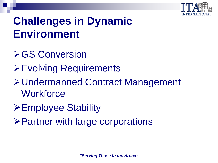

## **Challenges in Dynamic Environment**

- **≻GS Conversion**
- Evolving Requirements
- Undermanned Contract Management **Workforce**
- **≻Employee Stability**
- $\triangleright$  Partner with large corporations